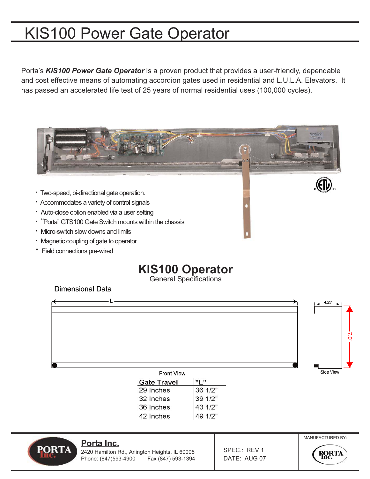# KIS100 Power Gate Operator

Porta's *KIS100 Power Gate Operator* is a proven product that provides a user-friendly, dependable and cost effective means of automating accordion gates used in residential and L.U.L.A. Elevators. It has passed an accelerated life test of 25 years of normal residential uses (100,000 cycles).



**·** Field connections pre-wired

# **KIS100 Operator**

General Specifications

**Dimensional Data** 



| <b>Gate Travel</b> |         |  |
|--------------------|---------|--|
| 29 Inches          | 36 1/2" |  |
| 32 Inches          | 39 1/2" |  |
| 36 Inches          | 43 1/2" |  |
| 42 Inches          | 49 1/2" |  |
|                    |         |  |



#### **Porta Inc.**

2420 Hamilton Rd., Arlington Heights, IL 60005 Phone: (847)593-4900 Fax (847) 593-1394 SPEC.: REV 1 DATE: AUG 07



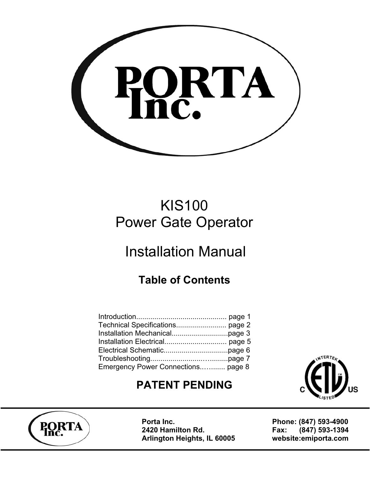

# KIS100 Power Gate Operator

# Installation Manual

# **Table of Contents**

| Emergency Power Connections page 8 |  |
|------------------------------------|--|

### **PATENT PENDING**



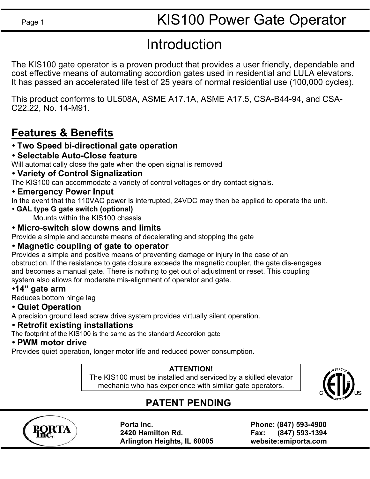# Introduction

The KIS100 gate operator is a proven product that provides a user friendly, dependable and cost effective means of automating accordion gates used in residential and LULA elevators. It has passed an accelerated life test of 25 years of normal residential use (100,000 cycles).

This product conforms to UL508A, ASME A17.1A, ASME A17.5, CSA-B44-94, and CSA-C22.22, No. 14-M91.

### **Features & Benefits**

### **• Two Speed bi-directional gate operation**

**• Selectable Auto-Close feature**

Will automatically close the gate when the open signal is removed

**• Variety of Control Signalization**

The KIS100 can accommodate a variety of control voltages or dry contact signals.

**• Emergency Power Input**

In the event that the 110VAC power is interrupted, 24VDC may then be applied to operate the unit.

**• GAL type G gate switch (optional)** 

Mounts within the KIS100 chassis

### **• Micro-switch slow downs and limits**

Provide a simple and accurate means of decelerating and stopping the gate

### **• Magnetic coupling of gate to operator**

Provides a simple and positive means of preventing damage or injury in the case of an obstruction. If the resistance to gate closure exceeds the magnetic coupler, the gate dis-engages and becomes a manual gate. There is nothing to get out of adjustment or reset. This coupling system also allows for moderate mis-alignment of operator and gate.

### **•14" gate arm**

Reduces bottom hinge lag

### **• Quiet Operation**

A precision ground lead screw drive system provides virtually silent operation.

### **• Retrofit existing installations**

The footprint of the KIS100 is the same as the standard Accordion gate

#### **• PWM motor drive**

Provides quiet operation, longer motor life and reduced power consumption.

### **ATTENTION!**

The KIS100 must be installed and serviced by a skilled elevator mechanic who has experience with similar gate operators.



### **PATENT PENDING**

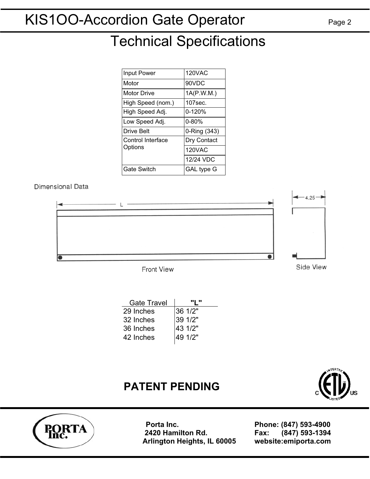# Technical Specifications

| Input Power                  | 120VAC        |
|------------------------------|---------------|
| Motor                        | 90VDC         |
| <b>Motor Drive</b>           | 1A(P.W.M.)    |
| High Speed (nom.)            | $107$ sec.    |
| High Speed Adj.              | $0 - 120%$    |
| Low Speed Adj.               | $0 - 80%$     |
| <b>Drive Belt</b>            | 0-Ring (343)  |
| Control Interface<br>Options | Dry Contact   |
|                              | <b>120VAC</b> |
|                              | 12/24 VDC     |
| <b>Gate Switch</b>           | GAL type G    |

#### Dimensional Data



**Front View** 

| <b>Gate Travel</b> |         |
|--------------------|---------|
| 29 Inches          | 36 1/2" |
| 32 Inches          | 39 1/2" |
| 36 Inches          | 43 1/2" |
| 42 Inches          | 49 1/2" |

### **PATENT PENDING**



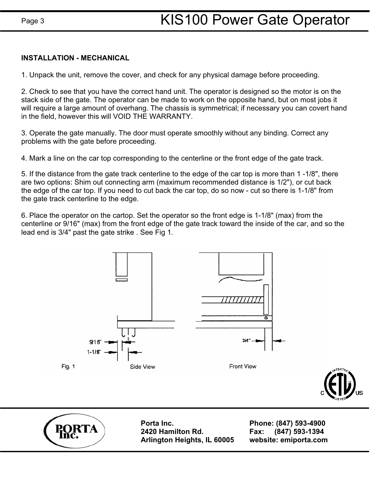#### **INSTALLATION - MECHANICAL**

1. Unpack the unit, remove the cover, and check for any physical damage before proceeding.

2. Check to see that you have the correct hand unit. The operator is designed so the motor is on the stack side of the gate. The operator can be made to work on the opposite hand, but on most jobs it will require a large amount of overhang. The chassis is symmetrical; if necessary you can covert hand in the field, however this will VOID THE WARRANTY.

3. Operate the gate manually. The door must operate smoothly without any binding. Correct any problems with the gate before proceeding.

4. Mark a line on the car top corresponding to the centerline or the front edge of the gate track.

5. If the distance from the gate track centerline to the edge of the car top is more than 1 -1/8", there are two options: Shim out connecting arm (maximum recommended distance is 1/2"), or cut back the edge of the car top. If you need to cut back the car top, do so now - cut so there is 1-1/8" from the gate track centerline to the edge.

6. Place the operator on the cartop. Set the operator so the front edge is 1-1/8" (max) from the centerline or 9/16" (max) from the front edge of the gate track toward the inside of the car, and so the lead end is 3/4" past the gate strike . See Fig 1.



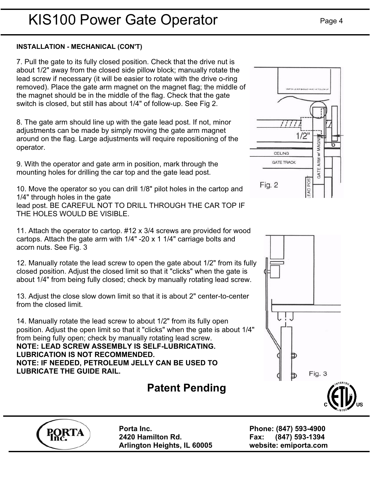#### **INSTALLATION - MECHANICAL (CON'T)**

7. Pull the gate to its fully closed position. Check that the drive nut is about 1/2" away from the closed side pillow block; manually rotate the lead screw if necessary (it will be easier to rotate with the drive o-ring removed). Place the gate arm magnet on the magnet flag; the middle of the magnet should be in the middle of the flag. Check that the gate switch is closed, but still has about 1/4" of follow-up. See Fig 2.

8. The gate arm should line up with the gate lead post. If not, minor adjustments can be made by simply moving the gate arm magnet around on the flag. Large adjustments will require repositioning of the operator.

9. With the operator and gate arm in position, mark through the mounting holes for drilling the car top and the gate lead post.

10. Move the operator so you can drill 1/8" pilot holes in the cartop and 1/4" through holes in the gate lead post. BE CAREFUL NOT TO DRILL THROUGH THE CAR TOP IF THE HOLES WOULD BE VISIBLE.

11. Attach the operator to cartop. #12 x 3/4 screws are provided for wood cartops. Attach the gate arm with 1/4" -20 x 1 1/4" carriage bolts and acorn nuts. See Fig. 3

12. Manually rotate the lead screw to open the gate about 1/2" from its fully closed position. Adjust the closed limit so that it "clicks" when the gate is about 1/4" from being fully closed; check by manually rotating lead screw.

13. Adjust the close slow down limit so that it is about 2" center-to-center from the closed limit.

14. Manually rotate the lead screw to about 1/2" from its fully open position. Adjust the open limit so that it "clicks" when the gate is about 1/4" from being fully open; check by manually rotating lead screw. **NOTE: LEAD SCREW ASSEMBLY IS SELF-LUBRICATING. LUBRICATION IS NOT RECOMMENDED. NOTE: IF NEEDED, PETROLEUM JELLY CAN BE USED TO LUBRICATE THE GUIDE RAIL.**

## **Patent Pending**





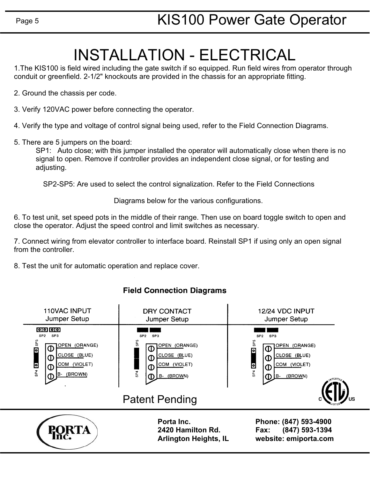# INSTALLATION - ELECTRICAL

1.The KIS100 is field wired including the gate switch if so equipped. Run field wires from operator through conduit or greenfield. 2-1/2" knockouts are provided in the chassis for an appropriate fitting.

2. Ground the chassis per code.

3. Verify 120VAC power before connecting the operator.

4. Verify the type and voltage of control signal being used, refer to the Field Connection Diagrams.

5. There are 5 jumpers on the board:

SP1: Auto close; with this jumper installed the operator will automatically close when there is no signal to open. Remove if controller provides an independent close signal, or for testing and adjusting.

SP2-SP5: Are used to select the control signalization. Refer to the Field Connections

Diagrams below for the various configurations.

6. To test unit, set speed pots in the middle of their range. Then use on board toggle switch to open and close the operator. Adjust the speed control and limit switches as necessary.

7. Connect wiring from elevator controller to interface board. Reinstall SP1 if using only an open signal from the controller.

8. Test the unit for automatic operation and replace cover.

#### **Field Connection Diagrams**

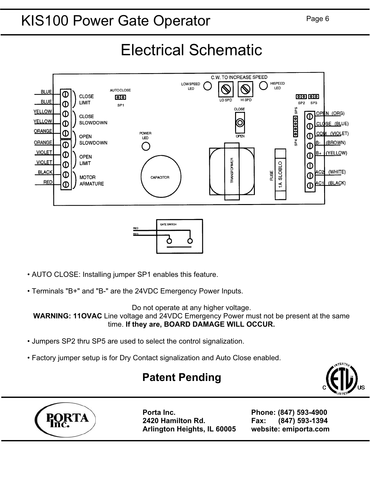# KIS100 Power Gate Operator Page 6

Electrical Schematic



- *•* AUTO CLOSE: Installing jumper SP1 enables this feature.
- Terminals "B+" and "B-" are the 24VDC Emergency Power Inputs.

Do not operate at any higher voltage.

**WARNING: 11OVAC** Line voltage and 24VDC Emergency Power must not be present at the same time. **If they are, BOARD DAMAGE WILL OCCUR.** 

- Jumpers SP2 thru SP5 are used to select the control signalization.
- Factory jumper setup is for Dry Contact signalization and Auto Close enabled.

### **Patent Pending**

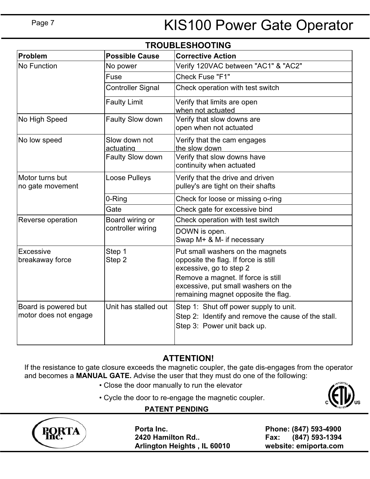# KIS100 Power Gate Operator

| <b>TROUBLESHOOTING</b>                        |                            |                                                                                                                                                                                                                         |  |  |
|-----------------------------------------------|----------------------------|-------------------------------------------------------------------------------------------------------------------------------------------------------------------------------------------------------------------------|--|--|
| Problem                                       | <b>Possible Cause</b>      | <b>Corrective Action</b>                                                                                                                                                                                                |  |  |
| <b>No Function</b>                            | No power                   | Verify 120VAC between "AC1" & "AC2"                                                                                                                                                                                     |  |  |
|                                               | Fuse                       | Check Fuse "F1"                                                                                                                                                                                                         |  |  |
|                                               | <b>Controller Signal</b>   | Check operation with test switch                                                                                                                                                                                        |  |  |
|                                               | <b>Faulty Limit</b>        | Verify that limits are open<br>when not actuated                                                                                                                                                                        |  |  |
| No High Speed                                 | Faulty Slow down           | Verify that slow downs are<br>open when not actuated                                                                                                                                                                    |  |  |
| No low speed                                  | Slow down not<br>actuating | Verify that the cam engages<br>the slow down                                                                                                                                                                            |  |  |
|                                               | Faulty Slow down           | Verify that slow downs have<br>continuity when actuated                                                                                                                                                                 |  |  |
| Motor turns but<br>no gate movement           | Loose Pulleys              | Verify that the drive and driven<br>pulley's are tight on their shafts                                                                                                                                                  |  |  |
|                                               | 0-Ring                     | Check for loose or missing o-ring                                                                                                                                                                                       |  |  |
|                                               | Gate                       | Check gate for excessive bind                                                                                                                                                                                           |  |  |
| Reverse operation                             | Board wiring or            | Check operation with test switch                                                                                                                                                                                        |  |  |
|                                               | controller wiring          | DOWN is open.<br>Swap M+ & M- if necessary                                                                                                                                                                              |  |  |
| Excessive<br>breakaway force                  | Step 1<br>Step 2           | Put small washers on the magnets<br>opposite the flag. If force is still<br>excessive, go to step 2<br>Remove a magnet. If force is still<br>excessive, put small washers on the<br>remaining magnet opposite the flag. |  |  |
| Board is powered but<br>motor does not engage | Unit has stalled out       | Step 1: Shut off power supply to unit.<br>Step 2: Identify and remove the cause of the stall.<br>Step 3: Power unit back up.                                                                                            |  |  |

### **ATTENTION!**

If the resistance to gate closure exceeds the magnetic coupler, the gate dis-engages from the operator and becomes a **MANUAL GATE.** Advise the user that they must do one of the following:

• Close the door manually to run the elevator



• Cycle the door to re-engage the magnetic coupler.

#### **PATENT PENDING**